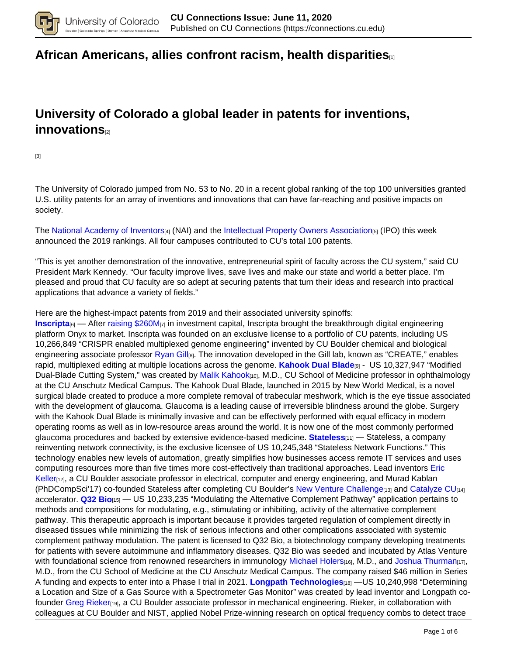

## **[African Americans, allies confront racism, health disparities](https://connections.cu.edu/spotlights/african-americans-allies-confront-racism-health-disparities)**[1]

# **University of Colorado a global leader in patents for inventions, innovations**[2]

[3]

The University of Colorado jumped from No. 53 to No. 20 in a recent global ranking of the top 100 universities granted U.S. utility patents for an array of inventions and innovations that can have far-reaching and positive impacts on society.

The National Academy of Inventors[4] (NAI) and the Intellectual Property Owners Association[5] (IPO) this week announced the 2019 rankings. All four campuses contributed to CU's total 100 patents.

"This is yet another demonstration of the innovative, entrepreneurial spirit of faculty across the CU system," said CU President Mark Kennedy. "Our faculty improve lives, save lives and make our state and world a better place. I'm pleased and proud that CU faculty are so adept at securing patents that turn their ideas and research into practical applications that advance a variety of fields."

Here are the highest-impact patents from 2019 and their associated university spinoffs:

**Inscripta**<sup>[6]</sup> — After raising \$260M<sub>[7]</sub> in investment capital, Inscripta brought the breakthrough digital engineering platform Onyx to market. Inscripta was founded on an exclusive license to a portfolio of CU patents, including US 10,266,849 "CRISPR enabled multiplexed genome engineering" invented by CU Boulder chemical and biological engineering associate professor Ryan Gill<sub>[8]</sub>. The innovation developed in the Gill lab, known as "CREATE," enables rapid, multiplexed editing at multiple locations across the genome. **Kahook Dual Blade**[9] - US 10,327,947 "Modified Dual-Blade Cutting System," was created by Malik Kahook<sub>[10]</sub>, M.D., CU School of Medicine professor in ophthalmology at the CU Anschutz Medical Campus. The Kahook Dual Blade, launched in 2015 by New World Medical, is a novel surgical blade created to produce a more complete removal of trabecular meshwork, which is the eye tissue associated with the development of glaucoma. Glaucoma is a leading cause of irreversible blindness around the globe. Surgery with the Kahook Dual Blade is minimally invasive and can be effectively performed with equal efficacy in modern operating rooms as well as in low-resource areas around the world. It is now one of the most commonly performed glaucoma procedures and backed by extensive evidence-based medicine. **Stateless**[11] — Stateless, a company reinventing network connectivity, is the exclusive licensee of US 10,245,348 "Stateless Network Functions." This technology enables new levels of automation, greatly simplifies how businesses access remote IT services and uses computing resources more than five times more cost-effectively than traditional approaches. Lead inventors Eric Keller<sub>[12]</sub>, a CU Boulder associate professor in electrical, computer and energy engineering, and Murad Kablan (PhDCompSci'17) co-founded Stateless after completing CU Boulder's New Venture Challenge<sub>[13]</sub> and Catalyze CU<sub>[14]</sub> accelerator. **Q32 Bio**[15] — US 10,233,235 "Modulating the Alternative Complement Pathway" application pertains to methods and compositions for modulating, e.g., stimulating or inhibiting, activity of the alternative complement pathway. This therapeutic approach is important because it provides targeted regulation of complement directly in diseased tissues while minimizing the risk of serious infections and other complications associated with systemic complement pathway modulation. The patent is licensed to Q32 Bio, a biotechnology company developing treatments for patients with severe autoimmune and inflammatory diseases. Q32 Bio was seeded and incubated by Atlas Venture with foundational science from renowned researchers in immunology Michael Holers<sub>[16]</sub>, M.D., and Joshua Thurman<sub>[17]</sub>, M.D., from the CU School of Medicine at the CU Anschutz Medical Campus. The company raised \$46 million in Series A funding and expects to enter into a Phase I trial in 2021. **Longpath Technologies**[18] —US 10,240,998 "Determining a Location and Size of a Gas Source with a Spectrometer Gas Monitor" was created by lead inventor and Longpath cofounder Greg Rieker[19], a CU Boulder associate professor in mechanical engineering. Rieker, in collaboration with colleagues at CU Boulder and NIST, applied Nobel Prize-winning research on optical frequency combs to detect trace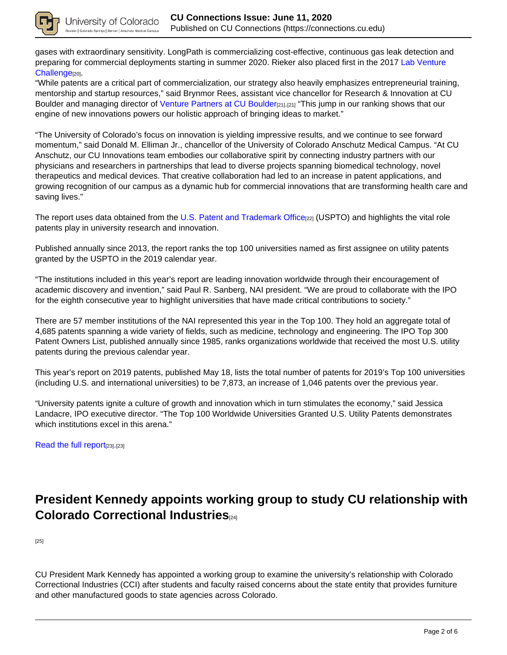

gases with extraordinary sensitivity. LongPath is commercializing cost-effective, continuous gas leak detection and preparing for commercial deployments starting in summer 2020. Rieker also placed first in the 2017 Lab Venture Challenge<sup>[20]</sup>.

"While patents are a critical part of commercialization, our strategy also heavily emphasizes entrepreneurial training, mentorship and startup resources," said Brynmor Rees, assistant vice chancellor for Research & Innovation at CU Boulder and managing director of Venture Partners at CU Boulder[21].[21] "This jump in our ranking shows that our engine of new innovations powers our holistic approach of bringing ideas to market."

"The University of Colorado's focus on innovation is yielding impressive results, and we continue to see forward momentum," said Donald M. Elliman Jr., chancellor of the University of Colorado Anschutz Medical Campus. "At CU Anschutz, our CU Innovations team embodies our collaborative spirit by connecting industry partners with our physicians and researchers in partnerships that lead to diverse projects spanning biomedical technology, novel therapeutics and medical devices. That creative collaboration had led to an increase in patent applications, and growing recognition of our campus as a dynamic hub for commercial innovations that are transforming health care and saving lives."

The report uses data obtained from the U.S. Patent and Trademark Office<sub>[22]</sub> (USPTO) and highlights the vital role patents play in university research and innovation.

Published annually since 2013, the report ranks the top 100 universities named as first assignee on utility patents granted by the USPTO in the 2019 calendar year.

"The institutions included in this year's report are leading innovation worldwide through their encouragement of academic discovery and invention," said Paul R. Sanberg, NAI president. "We are proud to collaborate with the IPO for the eighth consecutive year to highlight universities that have made critical contributions to society."

There are 57 member institutions of the NAI represented this year in the Top 100. They hold an aggregate total of 4,685 patents spanning a wide variety of fields, such as medicine, technology and engineering. The IPO Top 300 Patent Owners List, published annually since 1985, ranks organizations worldwide that received the most U.S. utility patents during the previous calendar year.

This year's report on 2019 patents, published May 18, lists the total number of patents for 2019's Top 100 universities (including U.S. and international universities) to be 7,873, an increase of 1,046 patents over the previous year.

"University patents ignite a culture of growth and innovation which in turn stimulates the economy," said Jessica Landacre, IPO executive director. "The Top 100 Worldwide Universities Granted U.S. Utility Patents demonstrates which institutions excel in this arena."

Read the full report<sub>[23]</sub>.[23]

# **President Kennedy appoints working group to study CU relationship with Colorado Correctional Industries**[24]

[25]

CU President Mark Kennedy has appointed a working group to examine the university's relationship with Colorado Correctional Industries (CCI) after students and faculty raised concerns about the state entity that provides furniture and other manufactured goods to state agencies across Colorado.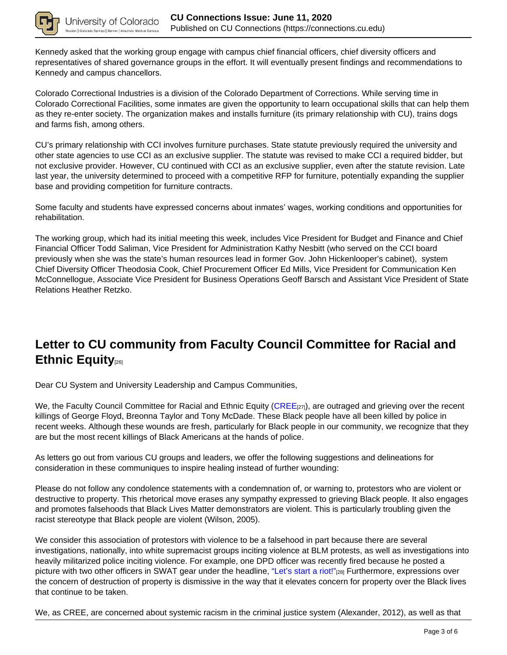

Kennedy asked that the working group engage with campus chief financial officers, chief diversity officers and representatives of shared governance groups in the effort. It will eventually present findings and recommendations to Kennedy and campus chancellors.

Colorado Correctional Industries is a division of the Colorado Department of Corrections. While serving time in Colorado Correctional Facilities, some inmates are given the opportunity to learn occupational skills that can help them as they re-enter society. The organization makes and installs furniture (its primary relationship with CU), trains dogs and farms fish, among others.

CU's primary relationship with CCI involves furniture purchases. State statute previously required the university and other state agencies to use CCI as an exclusive supplier. The statute was revised to make CCI a required bidder, but not exclusive provider. However, CU continued with CCI as an exclusive supplier, even after the statute revision. Late last year, the university determined to proceed with a competitive RFP for furniture, potentially expanding the supplier base and providing competition for furniture contracts.

Some faculty and students have expressed concerns about inmates' wages, working conditions and opportunities for rehabilitation.

The working group, which had its initial meeting this week, includes Vice President for Budget and Finance and Chief Financial Officer Todd Saliman, Vice President for Administration Kathy Nesbitt (who served on the CCI board previously when she was the state's human resources lead in former Gov. John Hickenlooper's cabinet), system Chief Diversity Officer Theodosia Cook, Chief Procurement Officer Ed Mills, Vice President for Communication Ken McConnellogue, Associate Vice President for Business Operations Geoff Barsch and Assistant Vice President of State Relations Heather Retzko.

# **Letter to CU community from Faculty Council Committee for Racial and Ethnic Equity**[26]

Dear CU System and University Leadership and Campus Communities,

We, the Faculty Council Committee for Racial and Ethnic Equity (CREE $_{[27]}$ ), are outraged and grieving over the recent killings of George Floyd, Breonna Taylor and Tony McDade. These Black people have all been killed by police in recent weeks. Although these wounds are fresh, particularly for Black people in our community, we recognize that they are but the most recent killings of Black Americans at the hands of police.

As letters go out from various CU groups and leaders, we offer the following suggestions and delineations for consideration in these communiques to inspire healing instead of further wounding:

Please do not follow any condolence statements with a condemnation of, or warning to, protestors who are violent or destructive to property. This rhetorical move erases any sympathy expressed to grieving Black people. It also engages and promotes falsehoods that Black Lives Matter demonstrators are violent. This is particularly troubling given the racist stereotype that Black people are violent (Wilson, 2005).

We consider this association of protestors with violence to be a falsehood in part because there are several investigations, nationally, into white supremacist groups inciting violence at BLM protests, as well as investigations into heavily militarized police inciting violence. For example, one DPD officer was recently fired because he posted a picture with two other officers in SWAT gear under the headline, "Let's start a riot!"<sub>[28]</sub> Furthermore, expressions over the concern of destruction of property is dismissive in the way that it elevates concern for property over the Black lives that continue to be taken.

We, as CREE, are concerned about systemic racism in the criminal justice system (Alexander, 2012), as well as that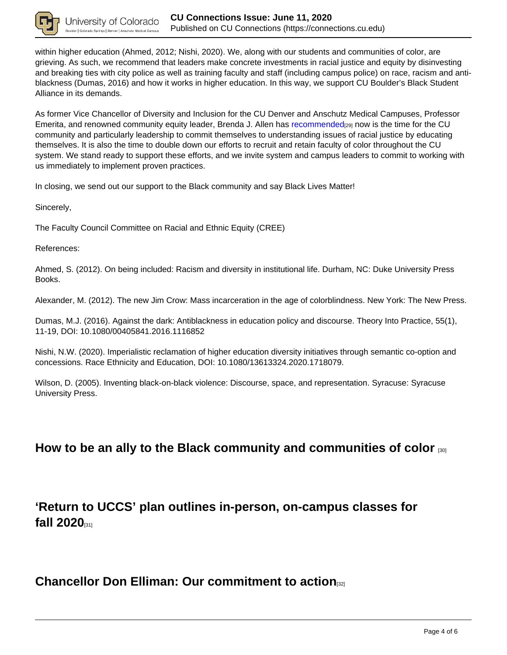

within higher education (Ahmed, 2012; Nishi, 2020). We, along with our students and communities of color, are grieving. As such, we recommend that leaders make concrete investments in racial justice and equity by disinvesting and breaking ties with city police as well as training faculty and staff (including campus police) on race, racism and antiblackness (Dumas, 2016) and how it works in higher education. In this way, we support CU Boulder's Black Student Alliance in its demands.

As former Vice Chancellor of Diversity and Inclusion for the CU Denver and Anschutz Medical Campuses, Professor Emerita, and renowned community equity leader, Brenda J. Allen has recommended<sub>[29]</sub> now is the time for the CU community and particularly leadership to commit themselves to understanding issues of racial justice by educating themselves. It is also the time to double down our efforts to recruit and retain faculty of color throughout the CU system. We stand ready to support these efforts, and we invite system and campus leaders to commit to working with us immediately to implement proven practices.

In closing, we send out our support to the Black community and say Black Lives Matter!

Sincerely,

The Faculty Council Committee on Racial and Ethnic Equity (CREE)

References:

Ahmed, S. (2012). On being included: Racism and diversity in institutional life. Durham, NC: Duke University Press **Books** 

Alexander, M. (2012). The new Jim Crow: Mass incarceration in the age of colorblindness. New York: The New Press.

Dumas, M.J. (2016). Against the dark: Antiblackness in education policy and discourse. Theory Into Practice, 55(1), 11-19, DOI: 10.1080/00405841.2016.1116852

Nishi, N.W. (2020). Imperialistic reclamation of higher education diversity initiatives through semantic co-option and concessions. Race Ethnicity and Education, DOI: 10.1080/13613324.2020.1718079.

Wilson, D. (2005). Inventing black-on-black violence: Discourse, space, and representation. Syracuse: Syracuse University Press.

### **How to be an ally to the Black community and communities of color** [30]

**'Return to UCCS' plan outlines in-person, on-campus classes for fall 2020** 

### **Chancellor Don Elliman: Our commitment to action**[32]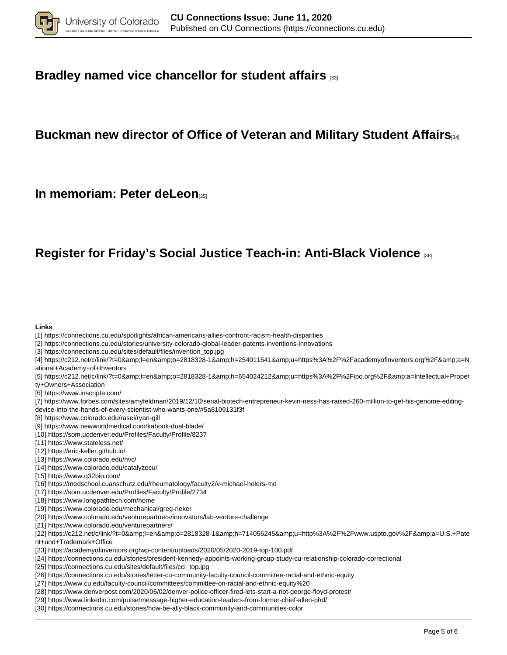

## **Bradley named vice chancellor for student affairs** [33]

# **Buckman new director of Office of Veteran and Military Student Affairs**[34]

**In memoriam: Peter deLeon** 

## **Register for Friday's Social Justice Teach-in: Anti-Black Violence** [36]

#### **Links**

[1] https://connections.cu.edu/spotlights/african-americans-allies-confront-racism-health-disparities

- [2] https://connections.cu.edu/stories/university-colorado-global-leader-patents-inventions-innovations
- [3] https://connections.cu.edu/sites/default/files/invention\_top.jpg

[4] https://c212.net/c/link/?t=0&l=en&o=2818328-1&h=254011541&u=https%3A%2F%2Facademyofinventors.org%2F&a=N ational+Academy+of+Inventors

- [5] https://c212.net/c/link/?t=0&l=en&o=2818328-1&h=654024212&u=https%3A%2F%2Fipo.org%2F&a=Intellectual+Proper ty+Owners+Association
- [6] https://www.inscripta.com/
- [7] https://www.forbes.com/sites/amyfeldman/2019/12/10/serial-biotech-entrepreneur-kevin-ness-has-raised-260-million-to-get-his-genome-editingdevice-into-the-hands-of-every-scientist-who-wants-one/#5a8109131f3f
- [8] https://www.colorado.edu/rasei/ryan-gill
- [9] https://www.newworldmedical.com/kahook-dual-blade/
- [10] https://som.ucdenver.edu/Profiles/Faculty/Profile/8237
- [11] https://www.stateless.net/
- [12] https://eric-keller.github.io/
- [13] https://www.colorado.edu/nvc/
- [14] https://www.colorado.edu/catalyzecu/
- [15] https://www.q32bio.com/
- [16] https://medschool.cuanschutz.edu/rheumatology/faculty2/v-michael-holers-md
- [17] https://som.ucdenver.edu/Profiles/Faculty/Profile/2734
- [18] https://www.longpathtech.com/home
- [19] https://www.colorado.edu/mechanical/greg-rieker
- [20] https://www.colorado.edu/venturepartners/innovators/lab-venture-challenge
- [21] https://www.colorado.edu/venturepartners/

[22] https://c212.net/c/link/?t=0&l=en&o=2818328-1&h=714056245&u=http%3A%2F%2Fwww.uspto.gov%2F&a=U.S.+Pate nt+and+Trademark+Office

- [23] https://academyofinventors.org/wp-content/uploads/2020/05/2020-2019-top-100.pdf
- [24] https://connections.cu.edu/stories/president-kennedy-appoints-working-group-study-cu-relationship-colorado-correctional
- [25] https://connections.cu.edu/sites/default/files/cci\_top.jpg
- [26] https://connections.cu.edu/stories/letter-cu-community-faculty-council-committee-racial-and-ethnic-equity
- [27] https://www.cu.edu/faculty-council/committees/committee-on-racial-and-ethnic-equity%20
- [28] https://www.denverpost.com/2020/06/02/denver-police-officer-fired-lets-start-a-riot-george-floyd-protest/
- [29] https://www.linkedin.com/pulse/message-higher-education-leaders-from-former-chief-allen-phd/
- [30] https://connections.cu.edu/stories/how-be-ally-black-community-and-communities-color